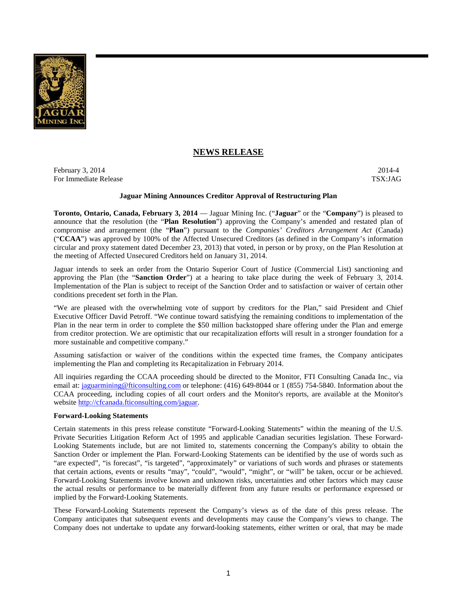

# **NEWS RELEASE**

February 3, 2014 2014-4 For Immediate Release TSX:JAG

### **Jaguar Mining Announces Creditor Approval of Restructuring Plan**

**Toronto, Ontario, Canada, February 3, 2014** — Jaguar Mining Inc. ("**Jaguar**" or the "**Company**") is pleased to announce that the resolution (the "**Plan Resolution**") approving the Company's amended and restated plan of compromise and arrangement (the "**Plan**") pursuant to the *Companies' Creditors Arrangement Act* (Canada) ("**CCAA**") was approved by 100% of the Affected Unsecured Creditors (as defined in the Company's information circular and proxy statement dated December 23, 2013) that voted, in person or by proxy, on the Plan Resolution at the meeting of Affected Unsecured Creditors held on January 31, 2014.

Jaguar intends to seek an order from the Ontario Superior Court of Justice (Commercial List) sanctioning and approving the Plan (the "**Sanction Order**") at a hearing to take place during the week of February 3, 2014. Implementation of the Plan is subject to receipt of the Sanction Order and to satisfaction or waiver of certain other conditions precedent set forth in the Plan.

"We are pleased with the overwhelming vote of support by creditors for the Plan," said President and Chief Executive Officer David Petroff. "We continue toward satisfying the remaining conditions to implementation of the Plan in the near term in order to complete the \$50 million backstopped share offering under the Plan and emerge from creditor protection. We are optimistic that our recapitalization efforts will result in a stronger foundation for a more sustainable and competitive company."

Assuming satisfaction or waiver of the conditions within the expected time frames, the Company anticipates implementing the Plan and completing its Recapitalization in February 2014.

All inquiries regarding the CCAA proceeding should be directed to the Monitor, FTI Consulting Canada Inc., via email at: jaguarmining@fticonsulting.com or telephone: (416) 649-8044 or 1 (855) 754-5840. Information about the CCAA proceeding, including copies of all court orders and the Monitor's reports, are available at the Monitor's website http://cfcanada.fticonsulting.com/jaguar.

#### **Forward-Looking Statements**

Certain statements in this press release constitute "Forward-Looking Statements" within the meaning of the U.S. Private Securities Litigation Reform Act of 1995 and applicable Canadian securities legislation. These Forward-Looking Statements include, but are not limited to, statements concerning the Company's ability to obtain the Sanction Order or implement the Plan. Forward-Looking Statements can be identified by the use of words such as "are expected", "is forecast", "is targeted", "approximately" or variations of such words and phrases or statements that certain actions, events or results "may", "could", "would", "might", or "will" be taken, occur or be achieved. Forward-Looking Statements involve known and unknown risks, uncertainties and other factors which may cause the actual results or performance to be materially different from any future results or performance expressed or implied by the Forward-Looking Statements.

These Forward-Looking Statements represent the Company's views as of the date of this press release. The Company anticipates that subsequent events and developments may cause the Company's views to change. The Company does not undertake to update any forward-looking statements, either written or oral, that may be made